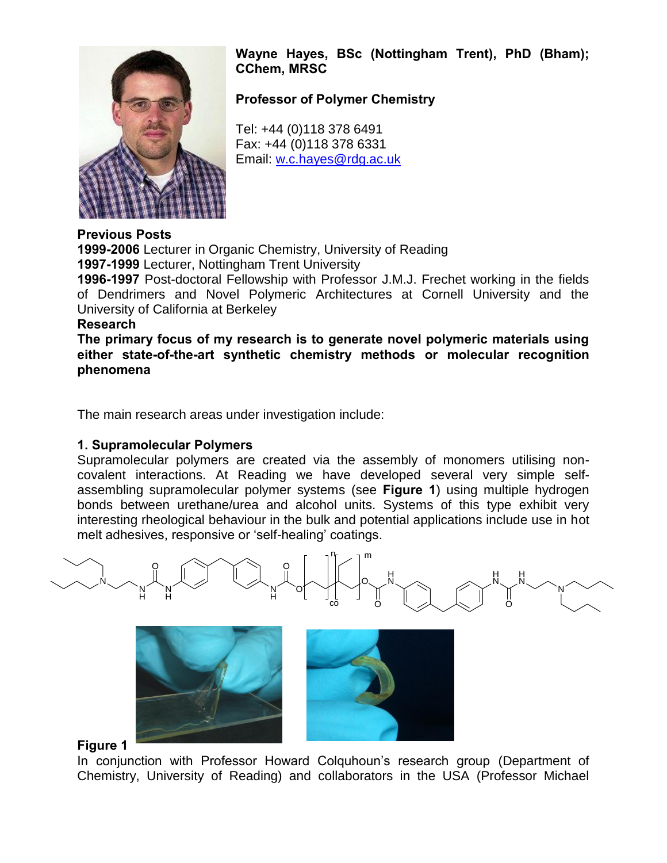

**Wayne Hayes, BSc (Nottingham Trent), PhD (Bham); CChem, MRSC** 

**Professor of Polymer Chemistry** 

Tel: +44 (0)118 378 6491 Fax: +44 (0)118 378 6331 Email: [w.c.hayes@rdg.ac.uk](mailto:w.c.hayes@rdg.ac.uk)

## **Previous Posts**

**1999-2006** Lecturer in Organic Chemistry, University of Reading **1997-1999** Lecturer, Nottingham Trent University

**1996-1997** Post-doctoral Fellowship with Professor J.M.J. Frechet working in the fields of Dendrimers and Novel Polymeric Architectures at Cornell University and the University of California at Berkeley

#### **Research**

**The primary focus of my research is to generate novel polymeric materials using either state-of-the-art synthetic chemistry methods or molecular recognition phenomena** 

The main research areas under investigation include:

# **1. Supramolecular Polymers**

Supramolecular polymers are created via the assembly of monomers utilising noncovalent interactions. At Reading we have developed several very simple selfassembling supramolecular polymer systems (see **Figure 1**) using multiple hydrogen bonds between urethane/urea and alcohol units. Systems of this type exhibit very interesting rheological behaviour in the bulk and potential applications include use in hot melt adhesives, responsive or 'self-healing' coatings.







## **Figure 1**

In conjunction with Professor Howard Colquhoun's research group (Department of Chemistry, University of Reading) and collaborators in the USA (Professor Michael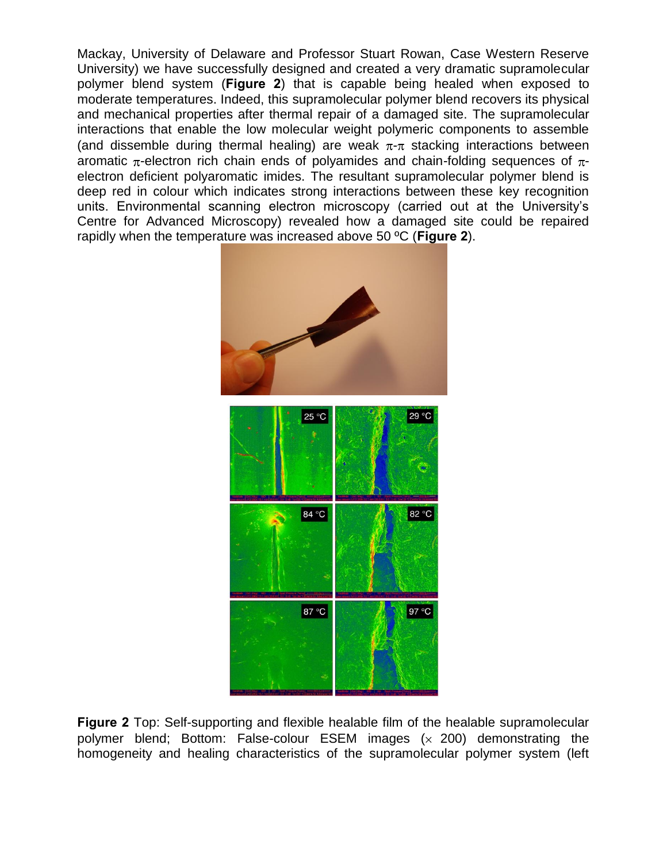Mackay, University of Delaware and Professor Stuart Rowan, Case Western Reserve University) we have successfully designed and created a very dramatic supramolecular polymer blend system (**Figure 2**) that is capable being healed when exposed to moderate temperatures. Indeed, this supramolecular polymer blend recovers its physical and mechanical properties after thermal repair of a damaged site. The supramolecular interactions that enable the low molecular weight polymeric components to assemble (and dissemble during thermal healing) are weak  $\pi$ - $\pi$  stacking interactions between aromatic  $\pi$ -electron rich chain ends of polyamides and chain-folding sequences of  $\pi$ electron deficient polyaromatic imides. The resultant supramolecular polymer blend is deep red in colour which indicates strong interactions between these key recognition units. Environmental scanning electron microscopy (carried out at the University's Centre for Advanced Microscopy) revealed how a damaged site could be repaired rapidly when the temperature was increased above 50 ºC (**Figure 2**).



**Figure 2** Top: Self-supporting and flexible healable film of the healable supramolecular polymer blend; Bottom: False-colour ESEM images  $(x, 200)$  demonstrating the homogeneity and healing characteristics of the supramolecular polymer system (left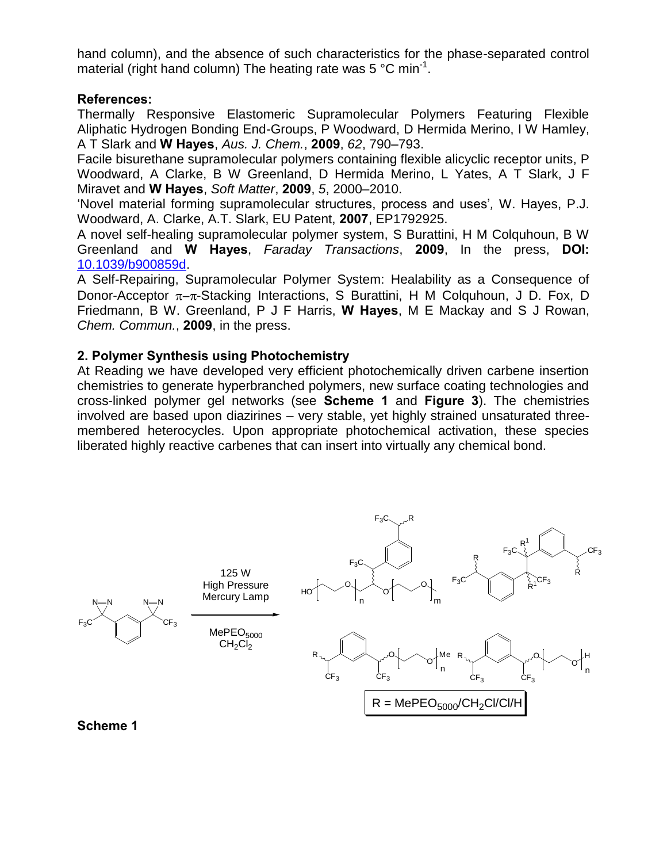hand column), and the absence of such characteristics for the phase-separated control material (right hand column) The heating rate was 5 °C min<sup>-1</sup>.

## **References:**

Thermally Responsive Elastomeric Supramolecular Polymers Featuring Flexible Aliphatic Hydrogen Bonding End-Groups, P Woodward, D Hermida Merino, I W Hamley, A T Slark and **W Hayes**, *Aus. J. Chem.*, **2009**, *62*, 790–793.

Facile bisurethane supramolecular polymers containing flexible alicyclic receptor units, P Woodward, A Clarke, B W Greenland, D Hermida Merino, L Yates, A T Slark, J F Miravet and **W Hayes**, *Soft Matter*, **2009**, *5*, 2000–2010.

'Novel material forming supramolecular structures, process and uses'*,* W. Hayes, P.J. Woodward, A. Clarke, A.T. Slark, EU Patent, **2007**, EP1792925.

A novel self-healing supramolecular polymer system, S Burattini, H M Colquhoun, B W Greenland and **W Hayes**, *Faraday Transactions*, **2009**, In the press, **DOI:** [10.1039/b900859d.](http://www.rsc.org/Publishing/Journals/FD/article.asp?doi=b900859d)

A Self-Repairing, Supramolecular Polymer System: Healability as a Consequence of Donor-Acceptor  $\pi-\pi$ -Stacking Interactions, S Burattini, H M Colguhoun, J D. Fox, D Friedmann, B W. Greenland, P J F Harris, **W Hayes**, M E Mackay and S J Rowan, *Chem. Commun.*, **2009**, in the press.

# **2. Polymer Synthesis using Photochemistry**

At Reading we have developed very efficient photochemically driven carbene insertion chemistries to generate hyperbranched polymers, new surface coating technologies and cross-linked polymer gel networks (see **Scheme 1** and **Figure 3**). The chemistries involved are based upon diazirines – very stable, yet highly strained unsaturated threemembered heterocycles. Upon appropriate photochemical activation, these species liberated highly reactive carbenes that can insert into virtually any chemical bond.



## **Scheme 1**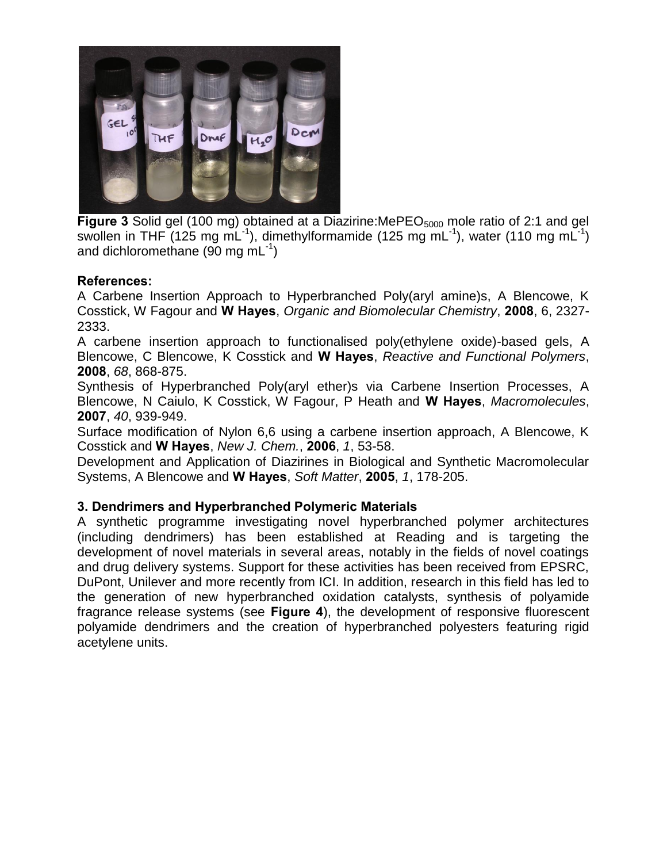

**Figure 3** Solid gel (100 mg) obtained at a Diazirine:MePEO<sub>5000</sub> mole ratio of 2:1 and gel swollen in THF (125 mg mL<sup>-1</sup>), dimethylformamide (125 mg mL<sup>-1</sup>), water (110 mg mL<sup>-1</sup>) and dichloromethane (90 mg mL $^{-1}$ )

## **References:**

A Carbene Insertion Approach to Hyperbranched Poly(aryl amine)s, A Blencowe, K Cosstick, W Fagour and **W Hayes**, *Organic and Biomolecular Chemistry*, **2008**, 6, 2327- 2333.

A carbene insertion approach to functionalised poly(ethylene oxide)-based gels, A Blencowe, C Blencowe, K Cosstick and **W Hayes**, *Reactive and Functional Polymers*, **2008**, *68*, 868-875.

Synthesis of Hyperbranched Poly(aryl ether)s via Carbene Insertion Processes, A Blencowe, N Caiulo, K Cosstick, W Fagour, P Heath and **W Hayes**, *Macromolecules*, **2007**, *40*, 939-949.

Surface modification of Nylon 6,6 using a carbene insertion approach, A Blencowe, K Cosstick and **W Hayes**, *New J. Chem.*, **2006**, *1*, 53-58.

Development and Application of Diazirines in Biological and Synthetic Macromolecular Systems, A Blencowe and **W Hayes**, *Soft Matter*, **2005**, *1*, 178-205.

## **3. Dendrimers and Hyperbranched Polymeric Materials**

A synthetic programme investigating novel hyperbranched polymer architectures (including dendrimers) has been established at Reading and is targeting the development of novel materials in several areas, notably in the fields of novel coatings and drug delivery systems. Support for these activities has been received from EPSRC, DuPont, Unilever and more recently from ICI. In addition, research in this field has led to the generation of new hyperbranched oxidation catalysts, synthesis of polyamide fragrance release systems (see **Figure 4**), the development of responsive fluorescent polyamide dendrimers and the creation of hyperbranched polyesters featuring rigid acetylene units.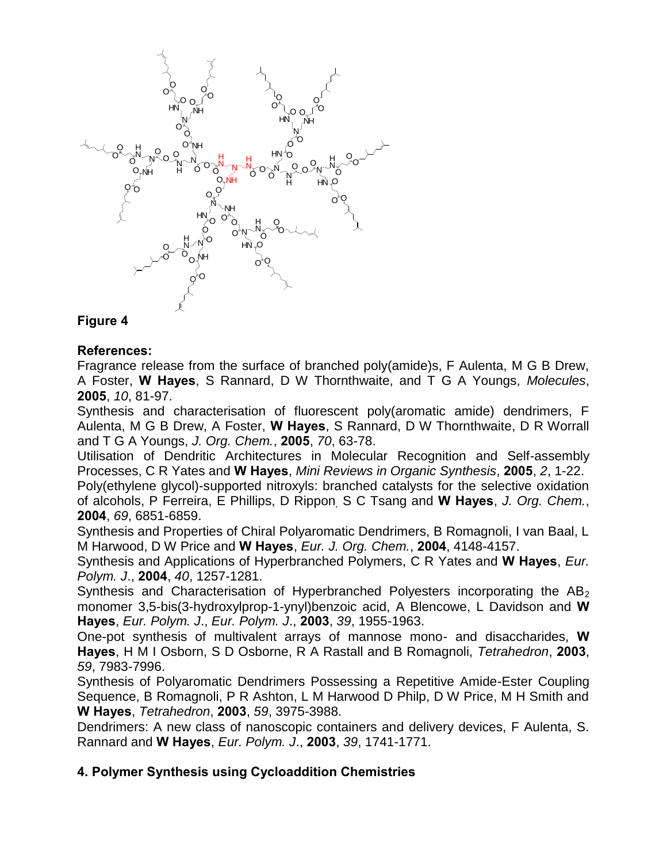

# **Figure 4**

#### **References:**

Fragrance release from the surface of branched poly(amide)s, F Aulenta, M G B Drew, A Foster, **W Hayes**, S Rannard, D W Thornthwaite, and T G A Youngs, *Molecules*, **2005**, *10*, 81-97.

Synthesis and characterisation of fluorescent poly(aromatic amide) dendrimers, F Aulenta, M G B Drew, A Foster, **W Hayes**, S Rannard, D W Thornthwaite, D R Worrall and T G A Youngs, *J. Org. Chem.*, **2005**, *70*, 63-78.

Utilisation of Dendritic Architectures in Molecular Recognition and Self-assembly Processes, C R Yates and **W Hayes**, *Mini Reviews in Organic Synthesis*, **2005**, *2*, 1-22.

Poly(ethylene glycol)-supported nitroxyls: branched catalysts for the selective oxidation of alcohols, P Ferreira, E Phillips, D Rippon*,* S C Tsang and **W Hayes**, *J. Org. Chem.*, **2004**, *69*, 6851-6859.

Synthesis and Properties of Chiral Polyaromatic Dendrimers, B Romagnoli, I van Baal, L M Harwood, D W Price and **W Hayes**, *Eur. J. Org. Chem.*, **2004**, 4148-4157.

Synthesis and Applications of Hyperbranched Polymers, C R Yates and **W Hayes**, *Eur. Polym. J*., **2004**, *40*, 1257-1281.

Synthesis and Characterisation of Hyperbranched Polyesters incorporating the  $AB<sub>2</sub>$ monomer 3,5-bis(3-hydroxylprop-1-ynyl)benzoic acid, A Blencowe, L Davidson and **W Hayes**, *Eur. Polym. J*., *Eur. Polym. J*., **2003**, *39*, 1955-1963.

One-pot synthesis of multivalent arrays of mannose mono- and disaccharides, **W Hayes**, H M I Osborn, S D Osborne, R A Rastall and B Romagnoli, *Tetrahedron*, **2003**, *59*, 7983-7996.

Synthesis of Polyaromatic Dendrimers Possessing a Repetitive Amide-Ester Coupling Sequence, B Romagnoli, P R Ashton, L M Harwood D Philp, D W Price, M H Smith and **W Hayes**, *Tetrahedron*, **2003**, *59*, 3975-3988.

Dendrimers: A new class of nanoscopic containers and delivery devices, F Aulenta, S. Rannard and **W Hayes**, *Eur. Polym. J*., **2003**, *39*, 1741-1771.

## **4. Polymer Synthesis using Cycloaddition Chemistries**